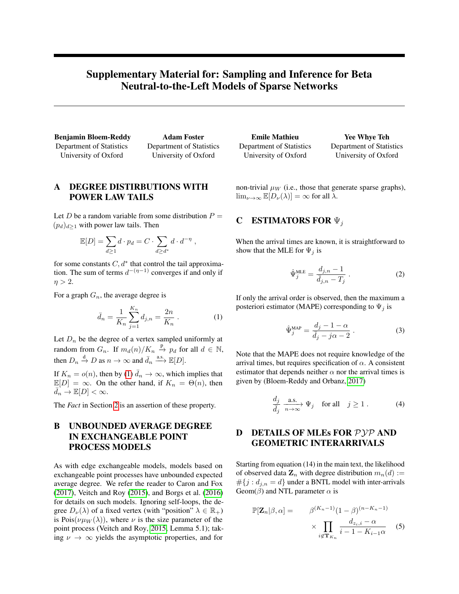# Supplementary Material for: Sampling and Inference for Beta Neutral-to-the-Left Models of Sparse Networks

Benjamin Bloem-Reddy Department of Statistics University of Oxford

Adam Foster Department of Statistics University of Oxford

## A DEGREE DISTIRBUTIONS WITH POWER LAW TAILS

Let D be a random variable from some distribution  $P =$  $(p_d)_{d>1}$  with power law tails. Then

$$
\mathbb{E}[D] = \sum_{d \ge 1} d \cdot p_d = C \cdot \sum_{d \ge d^*} d \cdot d^{-\eta} ,
$$

for some constants  $C, d^*$  that control the tail approximation. The sum of terms  $d^{-(\eta-1)}$  converges if and only if  $\eta > 2$ .

For a graph  $G_n$ , the average degree is

$$
\bar{d}_n = \frac{1}{K_n} \sum_{j=1}^{K_n} d_{j,n} = \frac{2n}{K_n} \,. \tag{1}
$$

Let  $D_n$  be the degree of a vertex sampled uniformly at random from  $G_n$ . If  $m_d(n)/K_n \stackrel{p}{\rightarrow} p_d$  for all  $d \in \mathbb{N}$ , then  $D_n \stackrel{d}{\rightarrow} D$  as  $n \rightarrow \infty$  and  $\bar{d}_n \stackrel{\text{a.s.}}{\longrightarrow} \mathbb{E}[D]$ .

If  $K_n = o(n)$ , then by [\(1\)](#page-0-0)  $\bar{d}_n \to \infty$ , which implies that  $\mathbb{E}[D] = \infty$ . On the other hand, if  $K_n = \Theta(n)$ , then  $\overline{d}_n \to \mathbb{E}[D] < \infty$ .

The *Fact* in Section 2 is an assertion of these property.

## B UNBOUNDED AVERAGE DEGREE IN EXCHANGEABLE POINT PROCESS MODELS

As with edge exchangeable models, models based on exchangeable point processes have unbounded expected average degree. We refer the reader to Caron and Fox [\(2017\)](#page-1-0), Veitch and Roy [\(2015\)](#page-1-1), and Borgs et al. [\(2016\)](#page-1-2) for details on such models. Ignoring self-loops, the degree  $D_{\nu}(\lambda)$  of a fixed vertex (with "position"  $\lambda \in \mathbb{R}_+$ ) is Pois( $\nu \mu_W(\lambda)$ ), where  $\nu$  is the size parameter of the point process (Veitch and Roy, [2015,](#page-1-1) Lemma 5.1); taking  $\nu \to \infty$  yields the asymptotic properties, and for

| <b>Emile Mathieu</b>     | <b>Yee Whye Teh</b>      |
|--------------------------|--------------------------|
| Department of Statistics | Department of Statistics |
| University of Oxford     | University of Oxford     |

non-trivial  $\mu_W$  (i.e., those that generate sparse graphs),  $\lim_{\nu\to\infty} \mathbb{E}[D_{\nu}(\lambda)] = \infty$  for all  $\lambda$ .

#### C ESTIMATORS FOR  $\Psi_j$

When the arrival times are known, it is straightforward to show that the MLE for  $\Psi_j$  is

$$
\hat{\Psi}_j^{\text{MLE}} = \frac{d_{j,n} - 1}{\bar{d}_{j,n} - T_j} \tag{2}
$$

<span id="page-0-0"></span>If only the arrival order is observed, then the maximum a posteriori estimator (MAPE) corresponding to  $\Psi_j$  is

$$
\hat{\Psi}_j^{\text{MAP}} = \frac{d_j - 1 - \alpha}{\bar{d}_j - j\alpha - 2} \,. \tag{3}
$$

Note that the MAPE does not require knowledge of the arrival times, but requires specification of  $\alpha$ . A consistent estimator that depends neither  $\alpha$  nor the arrival times is given by (Bloem-Reddy and Orbanz, [2017\)](#page-1-3)

$$
\frac{d_j}{\bar{d}_j} \xrightarrow[n \to \infty]{\text{a.s.}} \Psi_j \quad \text{for all} \quad j \ge 1. \tag{4}
$$

## D DETAILS OF MLEs FOR PYP AND GEOMETRIC INTERARRIVALS

Starting from equation (14) in the main text, the likelihood of observed data  $\mathbf{Z}_n$  with degree distribution  $m_n(d) :=$  $\#\{j : d_{j,n} = d\}$  under a BNTL model with inter-arrivals Geom( $\beta$ ) and NTL parameter  $\alpha$  is

$$
\mathbb{P}[\mathbf{Z}_n|\beta,\alpha] = \beta^{(K_n-1)}(1-\beta)^{(n-K_n-1)}
$$

$$
\times \prod_{i \notin \mathbf{T}_{K_n}} \frac{d_{z_i,i} - \alpha}{i-1 - K_{i-1}\alpha} \qquad (5)
$$